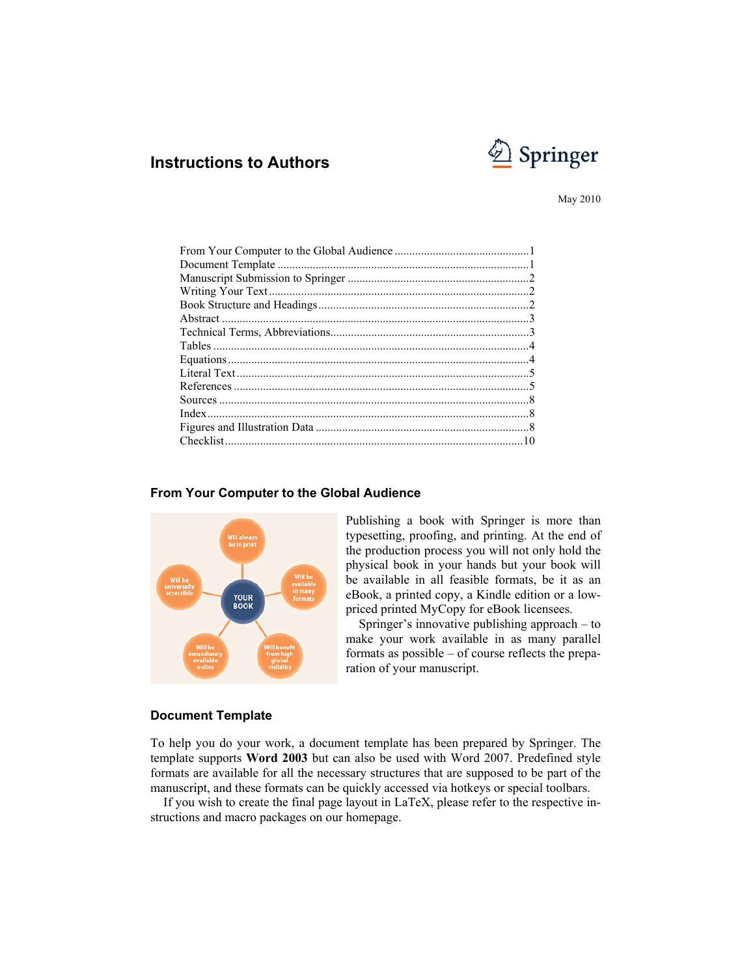# **Springer**

# **Instructions to Authors**

May 2010

# **YOUR**<br>BOOK

# **From Your Computer to the Global Audience**

Publishing a book with Springer is more than typesetting, proofing, and printing. At the end of the production process you will not only hold the physical book in your hands but your book will be available in all feasible formats, be it as an eBook, a printed copy, a Kindle edition or a lowpriced printed MyCopy for eBook licensees.

Springer's innovative publishing approach – to make your work available in as many parallel formats as possible – of course reflects the preparation of your manuscript.

# **Document Template**

To help you do your work, a document template has been prepared by Springer. The template supports **Word 2003** but can also be used with Word 2007. Predefined style formats are available for all the necessary structures that are supposed to be part of the manuscript, and these formats can be quickly accessed via hotkeys or special toolbars.

If you wish to create the final page layout in LaTeX, please refer to the respective instructions and macro packages on our homepage.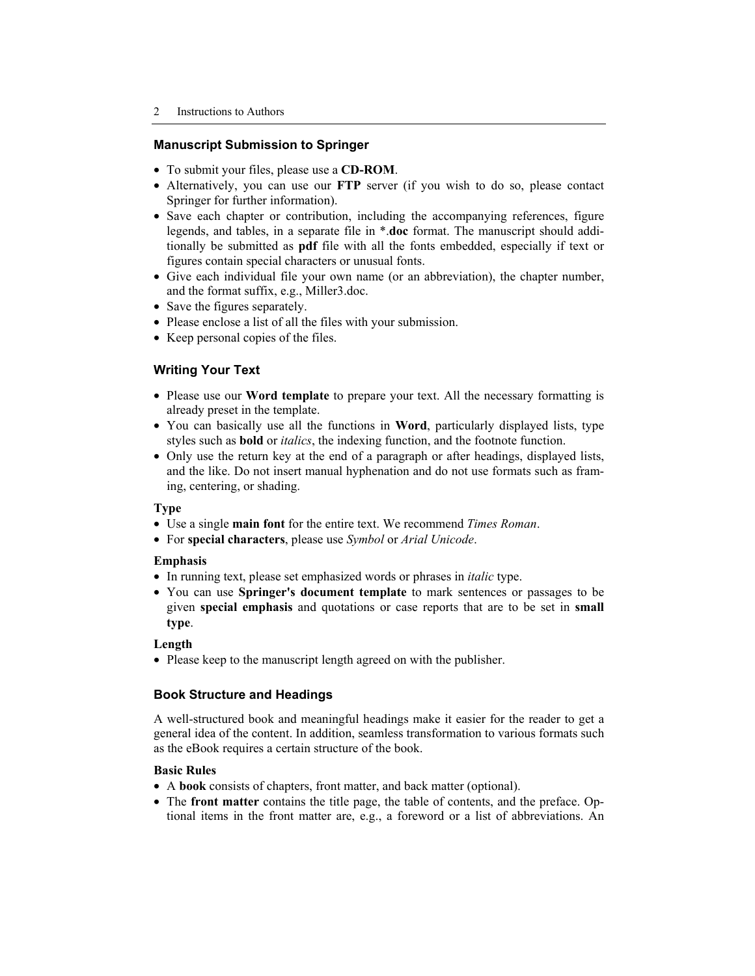# **Manuscript Submission to Springer**

- To submit your files, please use a **CD-ROM**.
- Alternatively, you can use our **FTP** server (if you wish to do so, please contact Springer for further information).
- Save each chapter or contribution, including the accompanying references, figure legends, and tables, in a separate file in \*.**doc** format. The manuscript should additionally be submitted as **pdf** file with all the fonts embedded, especially if text or figures contain special characters or unusual fonts.
- Give each individual file your own name (or an abbreviation), the chapter number, and the format suffix, e.g., Miller3.doc.
- Save the figures separately.
- Please enclose a list of all the files with your submission.
- Keep personal copies of the files.

# **Writing Your Text**

- Please use our **Word template** to prepare your text. All the necessary formatting is already preset in the template.
- You can basically use all the functions in **Word**, particularly displayed lists, type styles such as **bold** or *italics*, the indexing function, and the footnote function.
- Only use the return key at the end of a paragraph or after headings, displayed lists, and the like. Do not insert manual hyphenation and do not use formats such as framing, centering, or shading.

# **Type**

- Use a single **main font** for the entire text. We recommend *Times Roman*.
- For **special characters**, please use *Symbol* or *Arial Unicode*.

# **Emphasis**

- In running text, please set emphasized words or phrases in *italic* type.
- You can use **Springer's document template** to mark sentences or passages to be given **special emphasis** and quotations or case reports that are to be set in **small type**.

# **Length**

• Please keep to the manuscript length agreed on with the publisher.

# **Book Structure and Headings**

A well-structured book and meaningful headings make it easier for the reader to get a general idea of the content. In addition, seamless transformation to various formats such as the eBook requires a certain structure of the book.

# **Basic Rules**

- A **book** consists of chapters, front matter, and back matter (optional).
- The **front matter** contains the title page, the table of contents, and the preface. Optional items in the front matter are, e.g., a foreword or a list of abbreviations. An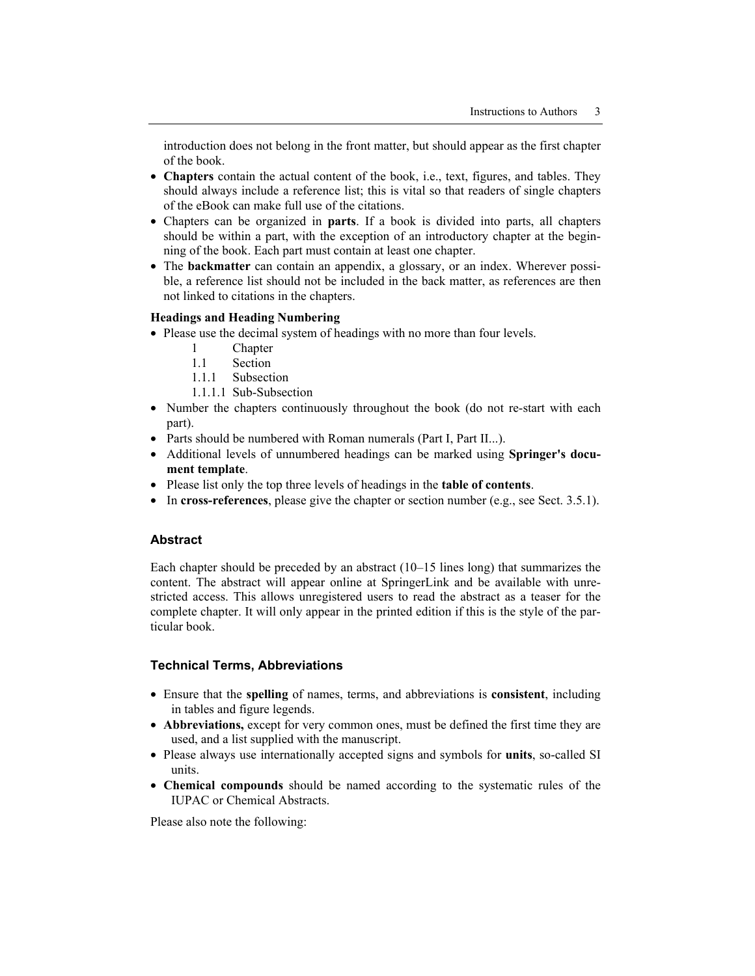introduction does not belong in the front matter, but should appear as the first chapter of the book.

- **Chapters** contain the actual content of the book, i.e., text, figures, and tables. They should always include a reference list; this is vital so that readers of single chapters of the eBook can make full use of the citations.
- Chapters can be organized in **parts**. If a book is divided into parts, all chapters should be within a part, with the exception of an introductory chapter at the beginning of the book. Each part must contain at least one chapter.
- The **backmatter** can contain an appendix, a glossary, or an index. Wherever possible, a reference list should not be included in the back matter, as references are then not linked to citations in the chapters.

# **Headings and Heading Numbering**

- Please use the decimal system of headings with no more than four levels.
	- 1 Chapter
	- 1.1 Section
	- 1.1.1 Subsection
	- 1.1.1.1 Sub-Subsection
- Number the chapters continuously throughout the book (do not re-start with each part).
- Parts should be numbered with Roman numerals (Part I, Part II...).
- Additional levels of unnumbered headings can be marked using **Springer's document template**.
- Please list only the top three levels of headings in the **table of contents**.
- In **cross-references**, please give the chapter or section number (e.g., see Sect. 3.5.1).

# **Abstract**

Each chapter should be preceded by an abstract (10–15 lines long) that summarizes the content. The abstract will appear online at SpringerLink and be available with unrestricted access. This allows unregistered users to read the abstract as a teaser for the complete chapter. It will only appear in the printed edition if this is the style of the particular book.

# **Technical Terms, Abbreviations**

- Ensure that the **spelling** of names, terms, and abbreviations is **consistent**, including in tables and figure legends.
- **Abbreviations,** except for very common ones, must be defined the first time they are used, and a list supplied with the manuscript.
- Please always use internationally accepted signs and symbols for **units**, so-called SI units.
- **Chemical compounds** should be named according to the systematic rules of the IUPAC or Chemical Abstracts.

Please also note the following: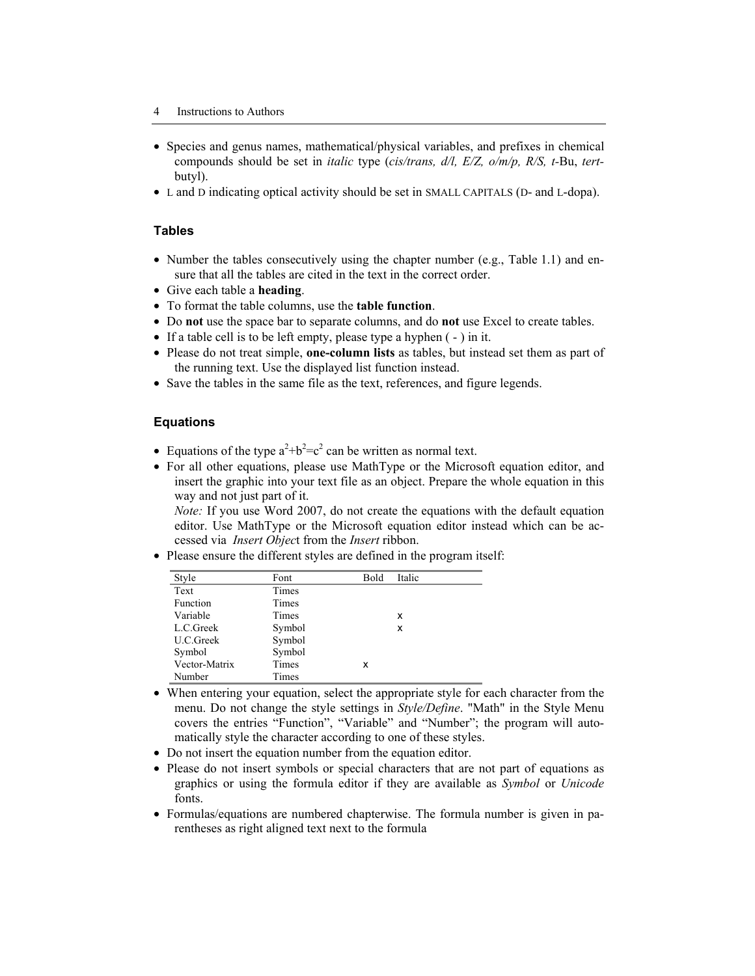- Species and genus names, mathematical/physical variables, and prefixes in chemical compounds should be set in *italic* type (*cis/trans, d/l, E/Z, o/m/p, R/S, t-*Bu, *tert*butyl).
- L and D indicating optical activity should be set in SMALL CAPITALS (D- and L-dopa).

# **Tables**

- Number the tables consecutively using the chapter number (e.g., Table 1.1) and ensure that all the tables are cited in the text in the correct order.
- Give each table a **heading**.
- To format the table columns, use the **table function**.
- Do **not** use the space bar to separate columns, and do **not** use Excel to create tables.
- If a table cell is to be left empty, please type a hyphen ( ) in it.
- Please do not treat simple, **one-column lists** as tables, but instead set them as part of the running text. Use the displayed list function instead.
- Save the tables in the same file as the text, references, and figure legends.

# **Equations**

- Equations of the type  $a^2+b^2=c^2$  can be written as normal text.
- For all other equations, please use MathType or the Microsoft equation editor, and insert the graphic into your text file as an object. Prepare the whole equation in this way and not just part of it.

*Note:* If you use Word 2007, do not create the equations with the default equation editor. Use MathType or the Microsoft equation editor instead which can be accessed via *Insert Objec*t from the *Insert* ribbon.

• Please ensure the different styles are defined in the program itself:

| Style         | Font   | Bold | Italic |  |
|---------------|--------|------|--------|--|
| Text          | Times  |      |        |  |
| Function      | Times  |      |        |  |
| Variable      | Times  |      | x      |  |
| L.C.Greek     | Symbol |      | x      |  |
| U.C.Greek     | Symbol |      |        |  |
| Symbol        | Symbol |      |        |  |
| Vector-Matrix | Times  | x    |        |  |
| Number        | Times  |      |        |  |

- When entering your equation, select the appropriate style for each character from the menu. Do not change the style settings in *Style/Define*. "Math" in the Style Menu covers the entries "Function", "Variable" and "Number"; the program will automatically style the character according to one of these styles.
- Do not insert the equation number from the equation editor.
- Please do not insert symbols or special characters that are not part of equations as graphics or using the formula editor if they are available as *Symbol* or *Unicode* fonts.
- Formulas/equations are numbered chapterwise. The formula number is given in parentheses as right aligned text next to the formula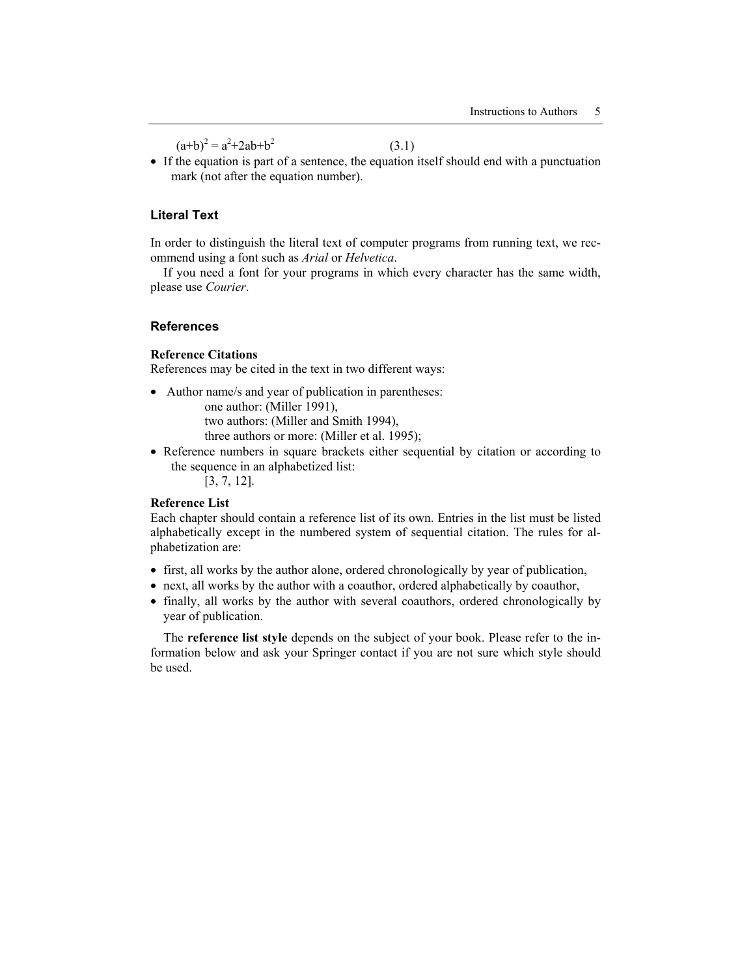$(a+b)^2 = a^2 + 2ab + b^2$ 

(3.1)

• If the equation is part of a sentence, the equation itself should end with a punctuation mark (not after the equation number).

# **Literal Text**

In order to distinguish the literal text of computer programs from running text, we recommend using a font such as *Arial* or *Helvetica*.

If you need a font for your programs in which every character has the same width, please use *Courier*.

# **References**

# **Reference Citations**

References may be cited in the text in two different ways:

- Author name/s and year of publication in parentheses: one author: (Miller 1991), two authors: (Miller and Smith 1994), three authors or more: (Miller et al. 1995);
- Reference numbers in square brackets either sequential by citation or according to the sequence in an alphabetized list:

[3, 7, 12].

# **Reference List**

Each chapter should contain a reference list of its own. Entries in the list must be listed alphabetically except in the numbered system of sequential citation. The rules for alphabetization are:

- first, all works by the author alone, ordered chronologically by year of publication,
- next, all works by the author with a coauthor, ordered alphabetically by coauthor,
- finally, all works by the author with several coauthors, ordered chronologically by year of publication.

The **reference list style** depends on the subject of your book. Please refer to the information below and ask your Springer contact if you are not sure which style should be used.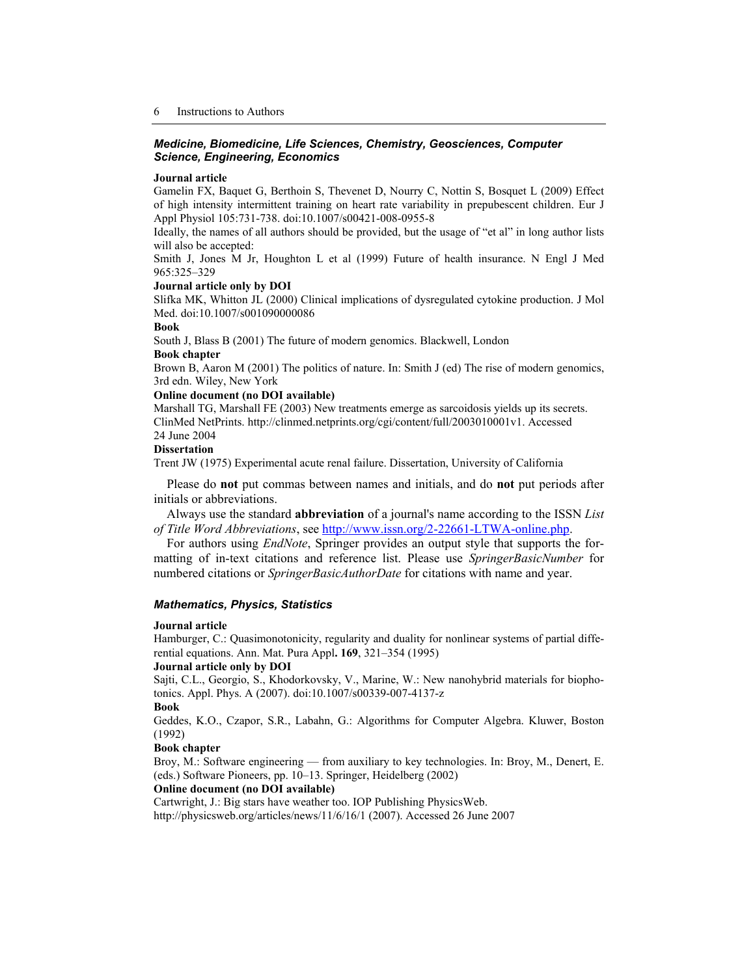#### *Medicine, Biomedicine, Life Sciences, Chemistry, Geosciences, Computer Science, Engineering, Economics*

#### **Journal article**

Gamelin FX, Baquet G, Berthoin S, Thevenet D, Nourry C, Nottin S, Bosquet L (2009) Effect of high intensity intermittent training on heart rate variability in prepubescent children. Eur J Appl Physiol 105:731-738. doi:10.1007/s00421-008-0955-8

Ideally, the names of all authors should be provided, but the usage of "et al" in long author lists will also be accepted:

Smith J, Jones M Jr, Houghton L et al (1999) Future of health insurance. N Engl J Med 965:325–329

#### **Journal article only by DOI**

Slifka MK, Whitton JL (2000) Clinical implications of dysregulated cytokine production. J Mol Med. doi:10.1007/s001090000086

# **Book**

South J, Blass B (2001) The future of modern genomics. Blackwell, London **Book chapter** 

Brown B, Aaron M (2001) The politics of nature. In: Smith J (ed) The rise of modern genomics, 3rd edn. Wiley, New York

# **Online document (no DOI available)**

Marshall TG, Marshall FE (2003) New treatments emerge as sarcoidosis yields up its secrets. ClinMed NetPrints. http://clinmed.netprints.org/cgi/content/full/2003010001v1. Accessed 24 June 2004

#### **Dissertation**

Trent JW (1975) Experimental acute renal failure. Dissertation, University of California

Please do **not** put commas between names and initials, and do **not** put periods after initials or abbreviations.

Always use the standard **abbreviation** of a journal's name according to the ISSN *List of Title Word Abbreviations*, see http://www.issn.org/2-22661-LTWA-online.php.

For authors using *EndNote*, Springer provides an output style that supports the formatting of in-text citations and reference list. Please use *SpringerBasicNumber* for numbered citations or *SpringerBasicAuthorDate* for citations with name and year.

#### *Mathematics, Physics, Statistics*

#### **Journal article**

Hamburger, C.: Quasimonotonicity, regularity and duality for nonlinear systems of partial differential equations. Ann. Mat. Pura Appl**. 169**, 321–354 (1995)

#### **Journal article only by DOI**

Sajti, C.L., Georgio, S., Khodorkovsky, V., Marine, W.: New nanohybrid materials for biophotonics. Appl. Phys. A (2007). doi:10.1007/s00339-007-4137-z

**Book** 

Geddes, K.O., Czapor, S.R., Labahn, G.: Algorithms for Computer Algebra. Kluwer, Boston (1992)

#### **Book chapter**

Broy, M.: Software engineering — from auxiliary to key technologies. In: Broy, M., Denert, E. (eds.) Software Pioneers, pp. 10–13. Springer, Heidelberg (2002)

# **Online document (no DOI available)**

Cartwright, J.: Big stars have weather too. IOP Publishing PhysicsWeb. http://physicsweb.org/articles/news/11/6/16/1 (2007). Accessed 26 June 2007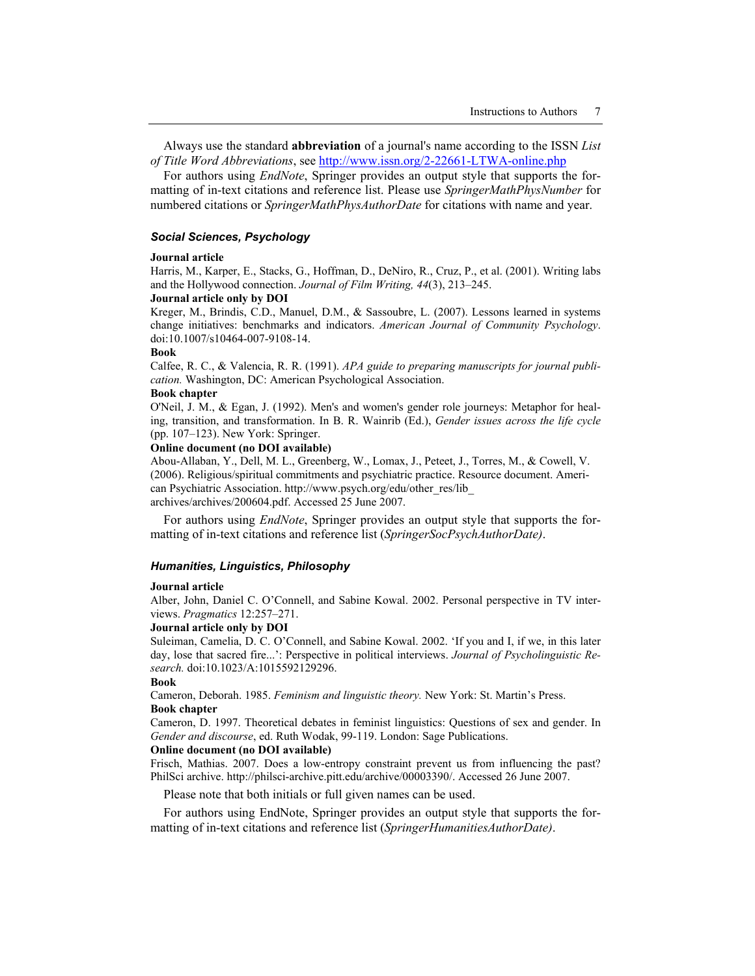Always use the standard **abbreviation** of a journal's name according to the ISSN *List of Title Word Abbreviations*, see http://www.issn.org/2-22661-LTWA-online.php

For authors using *EndNote*, Springer provides an output style that supports the formatting of in-text citations and reference list. Please use *SpringerMathPhysNumber* for numbered citations or *SpringerMathPhysAuthorDate* for citations with name and year.

#### *Social Sciences, Psychology*

#### **Journal article**

Harris, M., Karper, E., Stacks, G., Hoffman, D., DeNiro, R., Cruz, P., et al. (2001). Writing labs and the Hollywood connection. *Journal of Film Writing, 44*(3), 213–245.

# **Journal article only by DOI**

Kreger, M., Brindis, C.D., Manuel, D.M., & Sassoubre, L. (2007). Lessons learned in systems change initiatives: benchmarks and indicators. *American Journal of Community Psychology*. doi:10.1007/s10464-007-9108-14.

#### **Book**

Calfee, R. C., & Valencia, R. R. (1991). *APA guide to preparing manuscripts for journal publication.* Washington, DC: American Psychological Association.

#### **Book chapter**

O'Neil, J. M., & Egan, J. (1992). Men's and women's gender role journeys: Metaphor for healing, transition, and transformation. In B. R. Wainrib (Ed.), *Gender issues across the life cycle*  (pp. 107–123). New York: Springer.

#### **Online document (no DOI available)**

Abou-Allaban, Y., Dell, M. L., Greenberg, W., Lomax, J., Peteet, J., Torres, M., & Cowell, V. (2006). Religious/spiritual commitments and psychiatric practice. Resource document. American Psychiatric Association. http://www.psych.org/edu/other\_res/lib\_ archives/archives/200604.pdf. Accessed 25 June 2007.

For authors using *EndNote*, Springer provides an output style that supports the formatting of in-text citations and reference list (*SpringerSocPsychAuthorDate)*.

#### *Humanities, Linguistics, Philosophy*

#### **Journal article**

Alber, John, Daniel C. O'Connell, and Sabine Kowal. 2002. Personal perspective in TV interviews. *Pragmatics* 12:257–271.

#### **Journal article only by DOI**

Suleiman, Camelia, D. C. O'Connell, and Sabine Kowal. 2002. 'If you and I, if we, in this later day, lose that sacred fire...': Perspective in political interviews. *Journal of Psycholinguistic Research.* doi:10.1023/A:1015592129296.

#### **Book**

Cameron, Deborah. 1985. *Feminism and linguistic theory.* New York: St. Martin's Press. **Book chapter** 

Cameron, D. 1997. Theoretical debates in feminist linguistics: Questions of sex and gender. In *Gender and discourse*, ed. Ruth Wodak, 99-119. London: Sage Publications.

#### **Online document (no DOI available)**

Frisch, Mathias. 2007. Does a low-entropy constraint prevent us from influencing the past? PhilSci archive. http://philsci-archive.pitt.edu/archive/00003390/. Accessed 26 June 2007.

Please note that both initials or full given names can be used.

For authors using EndNote, Springer provides an output style that supports the formatting of in-text citations and reference list (*SpringerHumanitiesAuthorDate)*.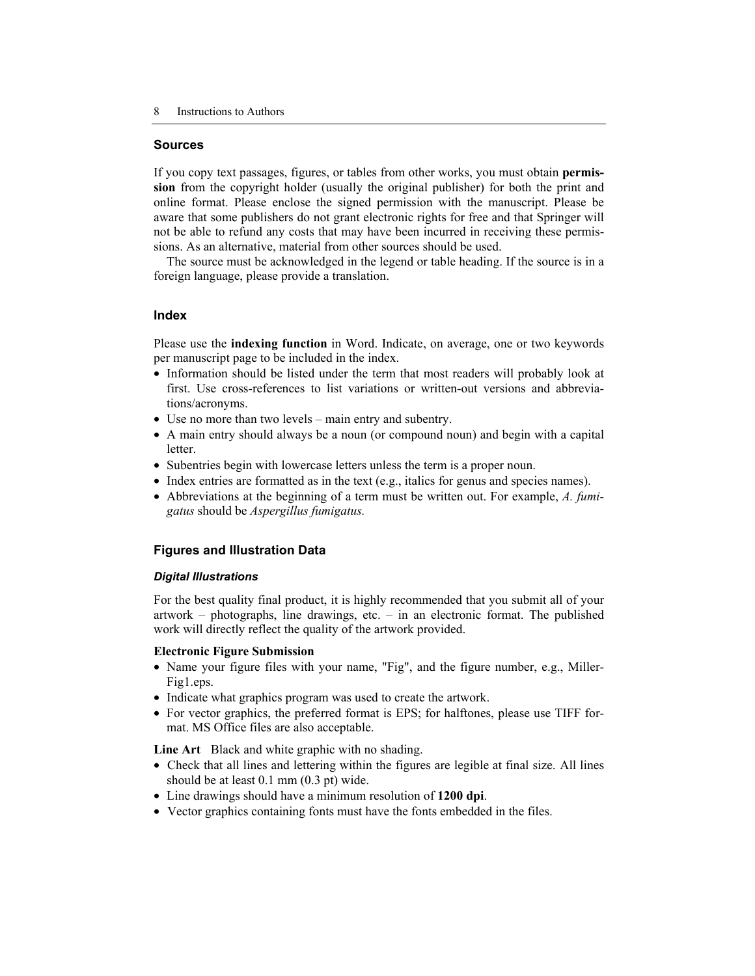# **Sources**

If you copy text passages, figures, or tables from other works, you must obtain **permission** from the copyright holder (usually the original publisher) for both the print and online format. Please enclose the signed permission with the manuscript. Please be aware that some publishers do not grant electronic rights for free and that Springer will not be able to refund any costs that may have been incurred in receiving these permissions. As an alternative, material from other sources should be used.

The source must be acknowledged in the legend or table heading. If the source is in a foreign language, please provide a translation.

# **Index**

Please use the **indexing function** in Word. Indicate, on average, one or two keywords per manuscript page to be included in the index.

- Information should be listed under the term that most readers will probably look at first. Use cross-references to list variations or written-out versions and abbreviations/acronyms.
- Use no more than two levels main entry and subentry.
- A main entry should always be a noun (or compound noun) and begin with a capital letter.
- Subentries begin with lowercase letters unless the term is a proper noun.
- Index entries are formatted as in the text (e.g., italics for genus and species names).
- Abbreviations at the beginning of a term must be written out. For example, *A. fumigatus* should be *Aspergillus fumigatus.*

# **Figures and Illustration Data**

# *Digital Illustrations*

For the best quality final product, it is highly recommended that you submit all of your artwork – photographs, line drawings, etc. – in an electronic format. The published work will directly reflect the quality of the artwork provided.

# **Electronic Figure Submission**

- Name your figure files with your name, "Fig", and the figure number, e.g., Miller-Fig1.eps.
- Indicate what graphics program was used to create the artwork.
- For vector graphics, the preferred format is EPS; for halftones, please use TIFF format. MS Office files are also acceptable.

**Line Art** Black and white graphic with no shading.

- Check that all lines and lettering within the figures are legible at final size. All lines should be at least 0.1 mm (0.3 pt) wide.
- Line drawings should have a minimum resolution of **1200 dpi**.
- Vector graphics containing fonts must have the fonts embedded in the files.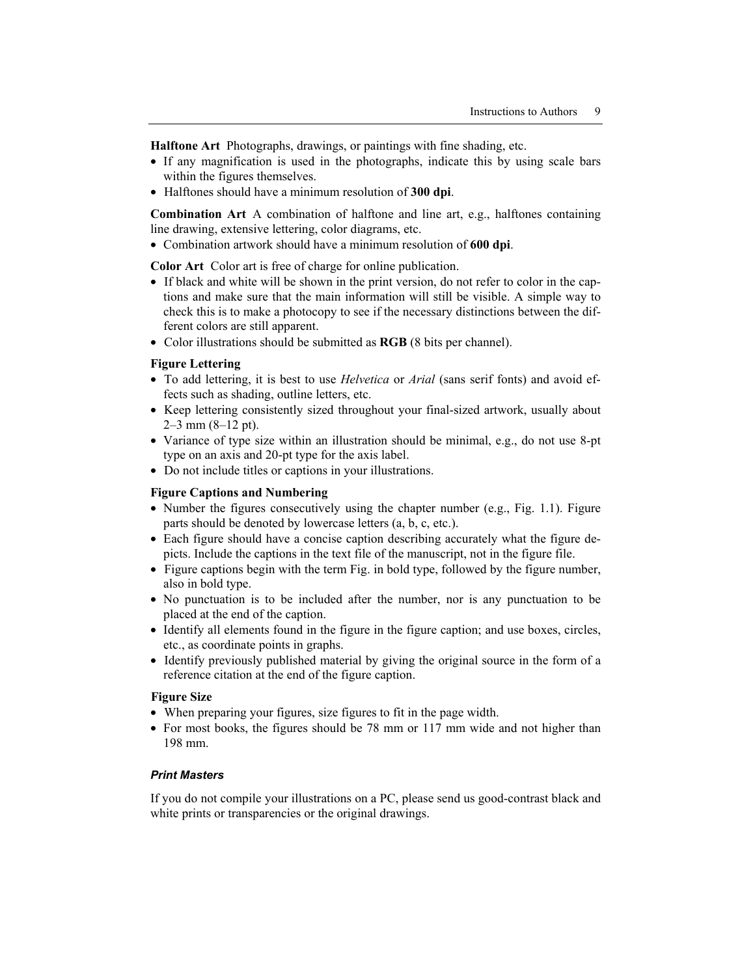**Halftone Art** Photographs, drawings, or paintings with fine shading, etc.

- If any magnification is used in the photographs, indicate this by using scale bars within the figures themselves.
- Halftones should have a minimum resolution of **300 dpi**.

**Combination Art** A combination of halftone and line art, e.g., halftones containing line drawing, extensive lettering, color diagrams, etc.

• Combination artwork should have a minimum resolution of **600 dpi**.

**Color Art** Color art is free of charge for online publication.

- If black and white will be shown in the print version, do not refer to color in the captions and make sure that the main information will still be visible. A simple way to check this is to make a photocopy to see if the necessary distinctions between the different colors are still apparent.
- Color illustrations should be submitted as **RGB** (8 bits per channel).

# **Figure Lettering**

- To add lettering, it is best to use *Helvetica* or *Arial* (sans serif fonts) and avoid effects such as shading, outline letters, etc.
- Keep lettering consistently sized throughout your final-sized artwork, usually about  $2-3$  mm  $(8-12$  pt).
- Variance of type size within an illustration should be minimal, e.g., do not use 8-pt type on an axis and 20-pt type for the axis label.
- Do not include titles or captions in your illustrations.

#### **Figure Captions and Numbering**

- Number the figures consecutively using the chapter number (e.g., Fig. 1.1). Figure parts should be denoted by lowercase letters (a, b, c, etc.).
- Each figure should have a concise caption describing accurately what the figure depicts. Include the captions in the text file of the manuscript, not in the figure file.
- Figure captions begin with the term Fig. in bold type, followed by the figure number, also in bold type.
- No punctuation is to be included after the number, nor is any punctuation to be placed at the end of the caption.
- Identify all elements found in the figure in the figure caption; and use boxes, circles, etc., as coordinate points in graphs.
- Identify previously published material by giving the original source in the form of a reference citation at the end of the figure caption.

# **Figure Size**

- When preparing your figures, size figures to fit in the page width.
- For most books, the figures should be 78 mm or 117 mm wide and not higher than 198 mm.

# *Print Masters*

If you do not compile your illustrations on a PC, please send us good-contrast black and white prints or transparencies or the original drawings.